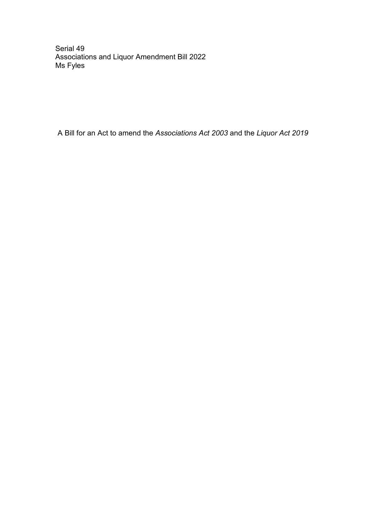Serial 49 Associations and Liquor Amendment Bill 2022 Ms Fyles

A Bill for an Act to amend the *Associations Act 2003* and the *Liquor Act 2019*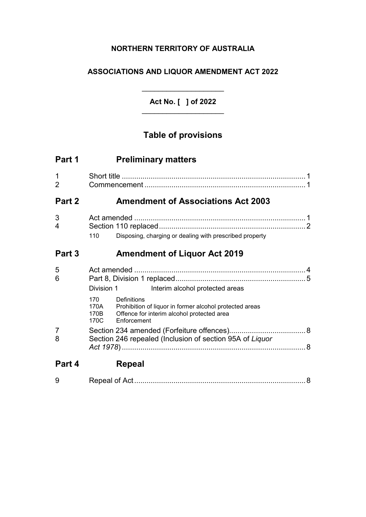## **NORTHERN TERRITORY OF AUSTRALIA**

## **ASSOCIATIONS AND LIQUOR AMENDMENT ACT 2022**

**Act No. [ ] of 2022** \_\_\_\_\_\_\_\_\_\_\_\_\_\_\_\_\_\_\_\_

\_\_\_\_\_\_\_\_\_\_\_\_\_\_\_\_\_\_\_\_

# **Table of provisions**

| Part 1                        | <b>Preliminary matters</b>                                                                                                                                                                |  |
|-------------------------------|-------------------------------------------------------------------------------------------------------------------------------------------------------------------------------------------|--|
| $\mathbf 1$<br>$\overline{2}$ |                                                                                                                                                                                           |  |
| Part 2                        | <b>Amendment of Associations Act 2003</b>                                                                                                                                                 |  |
| 3<br>4                        | Disposing, charging or dealing with prescribed property<br>110                                                                                                                            |  |
| Part 3                        | <b>Amendment of Liquor Act 2019</b>                                                                                                                                                       |  |
| 5<br>6                        | Division 1<br>Interim alcohol protected areas<br>Definitions<br>170<br>170A Prohibition of liquor in former alcohol protected areas<br>Offence for interim alcohol protected area<br>170B |  |
| $\overline{7}$<br>8           | 170C<br>Enforcement<br>Section 246 repealed (Inclusion of section 95A of Liquor                                                                                                           |  |
| Part 4                        | <b>Repeal</b>                                                                                                                                                                             |  |
| 9                             |                                                                                                                                                                                           |  |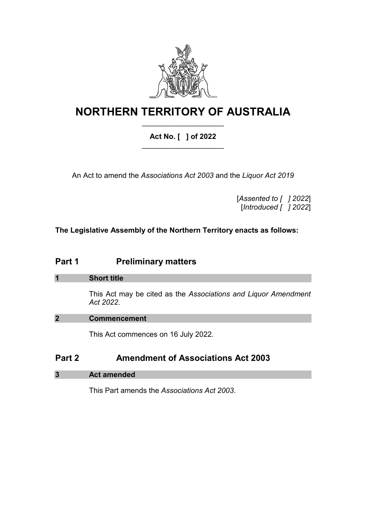

## **NORTHERN TERRITORY OF AUSTRALIA** \_\_\_\_\_\_\_\_\_\_\_\_\_\_\_\_\_\_\_\_

## **Act No. [ ] of 2022** \_\_\_\_\_\_\_\_\_\_\_\_\_\_\_\_\_\_\_\_

An Act to amend the *Associations Act 2003* and the *Liquor Act 2019*

[*Assented to [ ] 2022*] [*Introduced [ ] 2022*]

**The Legislative Assembly of the Northern Territory enacts as follows:**

## **Part 1 Preliminary matters**

## **1 Short title**

This Act may be cited as the *Associations and Liquor Amendment Act 2022*.

## **2 Commencement**

This Act commences on 16 July 2022.

## **Part 2 Amendment of Associations Act 2003**

## **3 Act amended**

This Part amends the *Associations Act 2003*.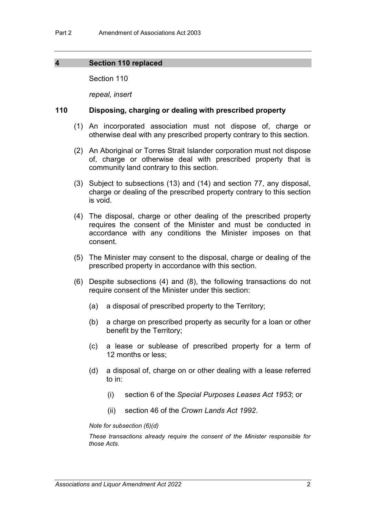#### **4 Section 110 replaced**

Section 110

*repeal, insert*

#### **110 Disposing, charging or dealing with prescribed property**

- (1) An incorporated association must not dispose of, charge or otherwise deal with any prescribed property contrary to this section.
- (2) An Aboriginal or Torres Strait Islander corporation must not dispose of, charge or otherwise deal with prescribed property that is community land contrary to this section.
- (3) Subject to subsections (13) and (14) and section 77, any disposal, charge or dealing of the prescribed property contrary to this section is void.
- (4) The disposal, charge or other dealing of the prescribed property requires the consent of the Minister and must be conducted in accordance with any conditions the Minister imposes on that consent.
- (5) The Minister may consent to the disposal, charge or dealing of the prescribed property in accordance with this section.
- (6) Despite subsections (4) and (8), the following transactions do not require consent of the Minister under this section:
	- (a) a disposal of prescribed property to the Territory;
	- (b) a charge on prescribed property as security for a loan or other benefit by the Territory;
	- (c) a lease or sublease of prescribed property for a term of 12 months or less;
	- (d) a disposal of, charge on or other dealing with a lease referred to in:
		- (i) section 6 of the *Special Purposes Leases Act 1953*; or
		- (ii) section 46 of the *Crown Lands Act 1992*.

#### *Note for subsection (6)(d)*

*These transactions already require the consent of the Minister responsible for those Acts.*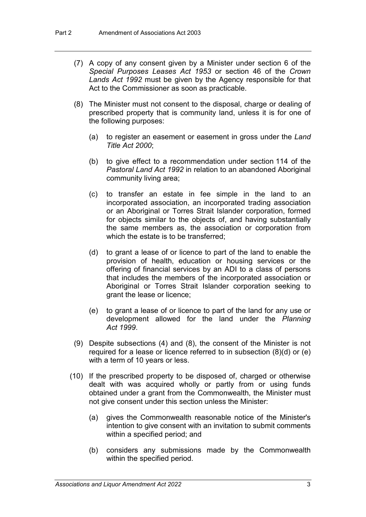- (7) A copy of any consent given by a Minister under section 6 of the *Special Purposes Leases Act 1953* or section 46 of the *Crown Lands Act 1992* must be given by the Agency responsible for that Act to the Commissioner as soon as practicable.
- (8) The Minister must not consent to the disposal, charge or dealing of prescribed property that is community land, unless it is for one of the following purposes:
	- (a) to register an easement or easement in gross under the *Land Title Act 2000*;
	- (b) to give effect to a recommendation under section 114 of the *Pastoral Land Act 1992* in relation to an abandoned Aboriginal community living area;
	- (c) to transfer an estate in fee simple in the land to an incorporated association, an incorporated trading association or an Aboriginal or Torres Strait Islander corporation, formed for objects similar to the objects of, and having substantially the same members as, the association or corporation from which the estate is to be transferred;
	- (d) to grant a lease of or licence to part of the land to enable the provision of health, education or housing services or the offering of financial services by an ADI to a class of persons that includes the members of the incorporated association or Aboriginal or Torres Strait Islander corporation seeking to grant the lease or licence;
	- (e) to grant a lease of or licence to part of the land for any use or development allowed for the land under the *Planning Act 1999*.
- (9) Despite subsections (4) and (8), the consent of the Minister is not required for a lease or licence referred to in subsection (8)(d) or (e) with a term of 10 years or less.
- (10) If the prescribed property to be disposed of, charged or otherwise dealt with was acquired wholly or partly from or using funds obtained under a grant from the Commonwealth, the Minister must not give consent under this section unless the Minister:
	- (a) gives the Commonwealth reasonable notice of the Minister's intention to give consent with an invitation to submit comments within a specified period; and
	- (b) considers any submissions made by the Commonwealth within the specified period.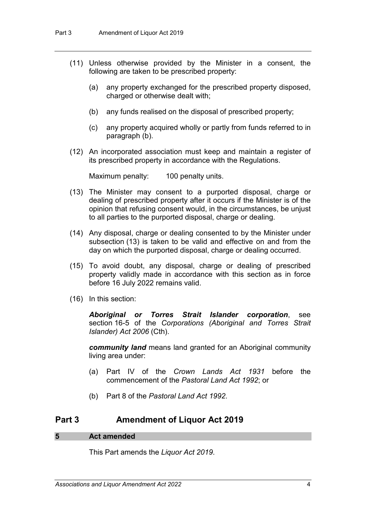- (11) Unless otherwise provided by the Minister in a consent, the following are taken to be prescribed property:
	- (a) any property exchanged for the prescribed property disposed, charged or otherwise dealt with;
	- (b) any funds realised on the disposal of prescribed property;
	- (c) any property acquired wholly or partly from funds referred to in paragraph (b).
- (12) An incorporated association must keep and maintain a register of its prescribed property in accordance with the Regulations.

Maximum penalty: 100 penalty units.

- (13) The Minister may consent to a purported disposal, charge or dealing of prescribed property after it occurs if the Minister is of the opinion that refusing consent would, in the circumstances, be unjust to all parties to the purported disposal, charge or dealing.
- (14) Any disposal, charge or dealing consented to by the Minister under subsection (13) is taken to be valid and effective on and from the day on which the purported disposal, charge or dealing occurred.
- (15) To avoid doubt, any disposal, charge or dealing of prescribed property validly made in accordance with this section as in force before 16 July 2022 remains valid.
- (16) In this section:

*Aboriginal or Torres Strait Islander corporation*, see section 16-5 of the *Corporations (Aboriginal and Torres Strait Islander) Act 2006* (Cth).

*community land* means land granted for an Aboriginal community living area under:

- (a) Part IV of the *Crown Lands Act 1931* before the commencement of the *Pastoral Land Act 1992*; or
- (b) Part 8 of the *Pastoral Land Act 1992*.

## **Part 3 Amendment of Liquor Act 2019**

#### **5 Act amended**

This Part amends the *Liquor Act 2019*.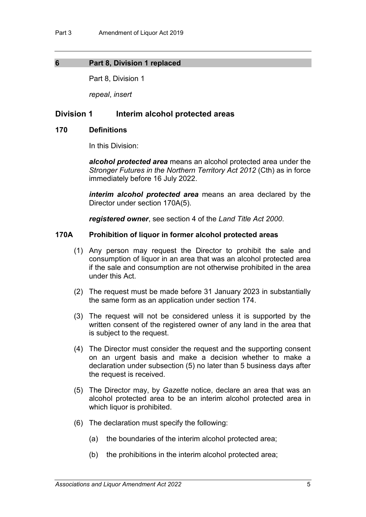## **6 Part 8, Division 1 replaced**

Part 8, Division 1

*repeal*, *insert*

## **Division 1 Interim alcohol protected areas**

#### **170 Definitions**

In this Division:

*alcohol protected area* means an alcohol protected area under the *Stronger Futures in the Northern Territory Act 2012* (Cth) as in force immediately before 16 July 2022.

*interim alcohol protected area* means an area declared by the Director under section 170A(5).

*registered owner*, see section 4 of the *Land Title Act 2000*.

#### **170A Prohibition of liquor in former alcohol protected areas**

- (1) Any person may request the Director to prohibit the sale and consumption of liquor in an area that was an alcohol protected area if the sale and consumption are not otherwise prohibited in the area under this Act.
- (2) The request must be made before 31 January 2023 in substantially the same form as an application under section 174.
- (3) The request will not be considered unless it is supported by the written consent of the registered owner of any land in the area that is subject to the request.
- (4) The Director must consider the request and the supporting consent on an urgent basis and make a decision whether to make a declaration under subsection (5) no later than 5 business days after the request is received.
- (5) The Director may, by *Gazette* notice, declare an area that was an alcohol protected area to be an interim alcohol protected area in which liquor is prohibited.
- (6) The declaration must specify the following:
	- (a) the boundaries of the interim alcohol protected area;
	- (b) the prohibitions in the interim alcohol protected area;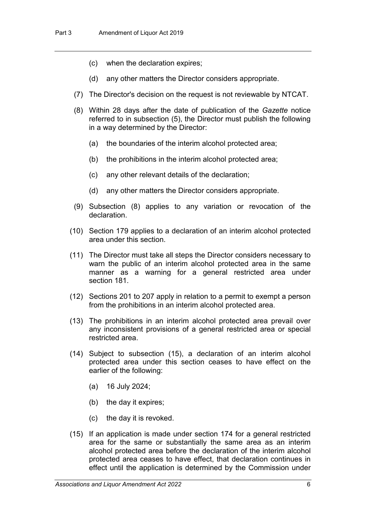- (c) when the declaration expires;
- (d) any other matters the Director considers appropriate.
- (7) The Director's decision on the request is not reviewable by NTCAT.
- (8) Within 28 days after the date of publication of the *Gazette* notice referred to in subsection (5), the Director must publish the following in a way determined by the Director:
	- (a) the boundaries of the interim alcohol protected area;
	- (b) the prohibitions in the interim alcohol protected area;
	- (c) any other relevant details of the declaration;
	- (d) any other matters the Director considers appropriate.
- (9) Subsection (8) applies to any variation or revocation of the declaration.
- (10) Section 179 applies to a declaration of an interim alcohol protected area under this section.
- (11) The Director must take all steps the Director considers necessary to warn the public of an interim alcohol protected area in the same manner as a warning for a general restricted area under section 181.
- (12) Sections 201 to 207 apply in relation to a permit to exempt a person from the prohibitions in an interim alcohol protected area.
- (13) The prohibitions in an interim alcohol protected area prevail over any inconsistent provisions of a general restricted area or special restricted area.
- (14) Subject to subsection (15), a declaration of an interim alcohol protected area under this section ceases to have effect on the earlier of the following:
	- (a) 16 July 2024;
	- (b) the day it expires;
	- (c) the day it is revoked.
- (15) If an application is made under section 174 for a general restricted area for the same or substantially the same area as an interim alcohol protected area before the declaration of the interim alcohol protected area ceases to have effect, that declaration continues in effect until the application is determined by the Commission under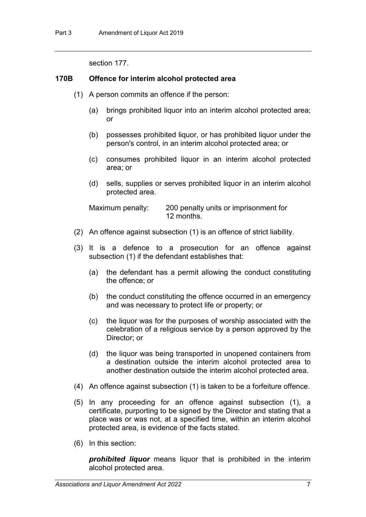section 177.

## **170B Offence for interim alcohol protected area**

- (1) A person commits an offence if the person:
	- (a) brings prohibited liquor into an interim alcohol protected area; or
	- (b) possesses prohibited liquor, or has prohibited liquor under the person's control, in an interim alcohol protected area; or
	- (c) consumes prohibited liquor in an interim alcohol protected area; or
	- (d) sells, supplies or serves prohibited liquor in an interim alcohol protected area.

Maximum penalty: 200 penalty units or imprisonment for 12 months.

- (2) An offence against subsection (1) is an offence of strict liability.
- (3) It is a defence to a prosecution for an offence against subsection (1) if the defendant establishes that:
	- (a) the defendant has a permit allowing the conduct constituting the offence; or
	- (b) the conduct constituting the offence occurred in an emergency and was necessary to protect life or property; or
	- (c) the liquor was for the purposes of worship associated with the celebration of a religious service by a person approved by the Director; or
	- (d) the liquor was being transported in unopened containers from a destination outside the interim alcohol protected area to another destination outside the interim alcohol protected area.
- (4) An offence against subsection (1) is taken to be a forfeiture offence.
- (5) In any proceeding for an offence against subsection (1), a certificate, purporting to be signed by the Director and stating that a place was or was not, at a specified time, within an interim alcohol protected area, is evidence of the facts stated.
- (6) In this section:

*prohibited liquor* means liquor that is prohibited in the interim alcohol protected area.